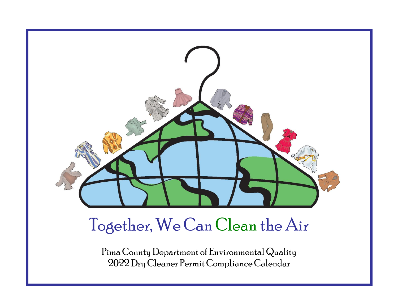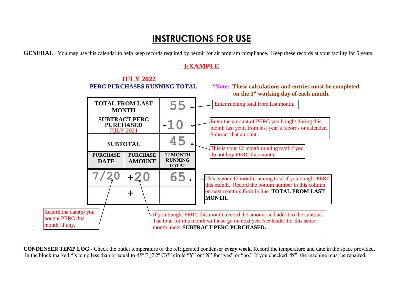# **INSTRUCTIONS FOR USE**

**GENERAL -** You may use this calendar to help keep records required by permit for air program compliance. Keep these records at your facility for 5 years.

## **EXAMPLE**



**CONDENSER TEMP LOG -** Check the outlet temperature of the refrigerated condenser **every week**. Record the temperature and date in the space provided. In the block marked "Is temp less than or equal to 45º F (7.2º C)?" circle "**Y**" or "**N**" for "yes" or "no." If you checked "**N**", the machine must be repaired.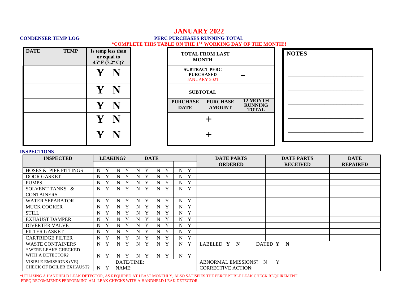## **JANUARY 2022 CONDENSER TEMP LOG PERC PURCHASES RUNNING TOTAL \*COMPLETE THIS TABLE ON THE 1ST WORKING DAY OF THE MONTH!!**

| <b>DATE</b> | <b>TEMP</b> | Is temp less than<br>or equal to<br>$45^{\circ}$ F $(7.2^{\circ}$ C)? | <b>TOTAL FROM LAST</b><br><b>MONTH</b> |                                                                 |                                                   |
|-------------|-------------|-----------------------------------------------------------------------|----------------------------------------|-----------------------------------------------------------------|---------------------------------------------------|
|             |             | $\mathbf V$                                                           |                                        | <b>SUBTRACT PERC</b><br><b>PURCHASED</b><br><b>JANUARY 2021</b> | <b>The Second Service</b>                         |
|             |             | $\mathbf{Y}$ $\mathbf{N}$                                             |                                        | <b>SUBTOTAL</b>                                                 |                                                   |
|             |             | Y N                                                                   | <b>PURCHASE</b><br><b>DATE</b>         | <b>PURCHASE</b><br><b>AMOUNT</b>                                | <b>12 MONTH</b><br><b>RUNNING</b><br><b>TOTAL</b> |
|             |             | $\mathbf{Y}$ $\mathbf{N}$                                             |                                        |                                                                 |                                                   |
|             |             |                                                                       |                                        |                                                                 |                                                   |

| <b>NOTES</b> |  |  |  |  |  |  |  |  |  |
|--------------|--|--|--|--|--|--|--|--|--|
|              |  |  |  |  |  |  |  |  |  |
|              |  |  |  |  |  |  |  |  |  |
|              |  |  |  |  |  |  |  |  |  |
|              |  |  |  |  |  |  |  |  |  |
|              |  |  |  |  |  |  |  |  |  |
|              |  |  |  |  |  |  |  |  |  |

### **INSPECTIONS**

| <b>INSPECTED</b>                |                  | <b>LEAKING?</b>   |                   | <b>DATE</b>      |                | <b>DATE PARTS</b>         | <b>DATE PARTS</b> | <b>DATE</b>     |
|---------------------------------|------------------|-------------------|-------------------|------------------|----------------|---------------------------|-------------------|-----------------|
|                                 |                  |                   |                   |                  |                | <b>ORDERED</b>            | <b>RECEIVED</b>   | <b>REPAIRED</b> |
| HOSES & PIPE FITTINGS           | Y<br>N           | Y<br>N            | $\mathbf{v}$<br>N | Y<br>N           | Y<br>N         |                           |                   |                 |
| <b>DOOR GASKET</b>              | $\mathbf N$<br>Y | $\mathbf{v}$<br>N | N                 | Y<br>N           | Y<br>N         |                           |                   |                 |
| <b>PUMPS</b>                    | Y<br>N           | $\bf{V}$<br>N     | N                 | Y<br>N           | Y<br>N         |                           |                   |                 |
| SOLVENT TANKS &                 | Y<br>N           | Y<br>N            | Y<br>N            | Y<br>N           | Y<br>N         |                           |                   |                 |
| <b>CONTAINERS</b>               |                  |                   |                   |                  |                |                           |                   |                 |
| <b>WATER SEPARATOR</b>          | Y<br>N           | Y<br>N            | Y<br>N            | N<br>Y           | Y<br>N         |                           |                   |                 |
| <b>MUCK COOKER</b>              | N<br>Y           | Y<br>N            | N                 | Y<br>N           | Y<br>N         |                           |                   |                 |
| <b>STILL</b>                    | Y<br>N           | N<br>Y            | Y<br>N            | Y<br>N           | Y<br>N         |                           |                   |                 |
| <b>EXHAUST DAMPER</b>           | N<br>Y           | N<br>Y            | N                 | Y<br>N           | Y<br>N         |                           |                   |                 |
| <b>DIVERTER VALVE</b>           | $\mathbf N$<br>Y | Y<br>N            | N                 | Y<br>N           | Y<br>N         |                           |                   |                 |
| <b>FILTER GASKET</b>            | $\mathbf N$      | $\mathbf{v}$<br>N | N                 | Y<br>N           | Y<br>N         |                           |                   |                 |
| <b>CARTRIDGE FILTER</b>         | Y<br>$N_{\rm}$   | N<br>$\mathbf v$  | N                 | Y<br>N           | Y<br>N         |                           |                   |                 |
| <b>WASTE CONTAINERS</b>         | Y<br>N           | Y<br>N            | N                 | Y<br>$\mathbf N$ | Y<br>N         | LABELED Y N               | DATED Y N         |                 |
| * WERE LEAKS CHECKED            |                  |                   |                   |                  |                |                           |                   |                 |
| WITH A DETECTOR?                | Y<br>$N_{\odot}$ | Y<br>N            | Y<br>N            | Y<br>$\mathbf N$ | Y<br>$N_{\rm}$ |                           |                   |                 |
| VISIBLE EMISSIONS (VE)          |                  | DATE/TIME:        |                   |                  |                | ABNORMAL EMISSIONS? N     | Y                 |                 |
| <b>CHECK OF BOILER EXHAUST?</b> | N<br>Y           | NAME:             |                   |                  |                | <b>CORRECTIVE ACTION:</b> |                   |                 |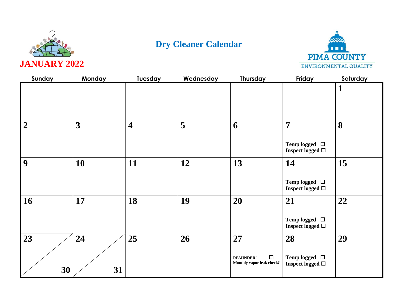



| Sunday         | Monday   | <b>Tuesday</b>          | Wednesday | Thursday                                                      | Friday                                                        | Saturday     |
|----------------|----------|-------------------------|-----------|---------------------------------------------------------------|---------------------------------------------------------------|--------------|
|                |          |                         |           |                                                               |                                                               | $\mathbf{1}$ |
| $\overline{2}$ | 3        | $\overline{\mathbf{4}}$ | 5         | 6                                                             | $\overline{7}$<br>Temp logged $\Box$<br>Inspect logged $\Box$ | 8            |
| 9              | 10       | 11                      | 12        | 13                                                            | 14<br>Temp logged $\Box$<br>Inspect logged $\Box$             | 15           |
| 16             | 17       | 18                      | 19        | 20                                                            | 21<br>Temp logged $\quad \Box$<br>Inspect logged $\Box$       | 22           |
| 23<br>30       | 24<br>31 | 25                      | 26        | 27<br>$\Box$<br><b>REMINDER!</b><br>Monthly vapor leak check? | 28<br>Temp logged $\Box$<br>Inspect logged $\Box$             | 29           |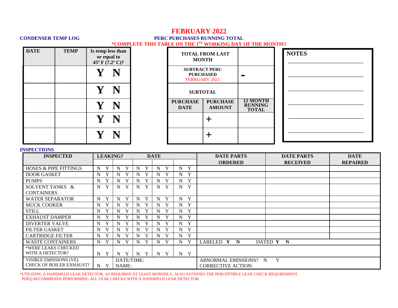## **FEBRUARY 2022**

### **CONDENSER TEMP LOG PERC PURCHASES RUNNING TOTAL \*COMPLETE THIS TABLE ON THE 1ST WORKING DAY OF THE MONTH!!**

| <b>DATE</b> | <b>TEMP</b> | Is temp less than<br>or equal to<br>$45^{\circ}$ F $(7.2^{\circ}$ C)? |  |                                | <b>TOTAL FROM LAST</b><br><b>MONTH</b>   |                                                   | <b>NOTES</b> |
|-------------|-------------|-----------------------------------------------------------------------|--|--------------------------------|------------------------------------------|---------------------------------------------------|--------------|
|             |             |                                                                       |  | FEBRUARY 2021                  | <b>SUBTRACT PERC</b><br><b>PURCHASED</b> | <b>The State</b>                                  |              |
|             |             | N                                                                     |  |                                | <b>SUBTOTAL</b>                          |                                                   |              |
|             |             |                                                                       |  | <b>PURCHASE</b><br><b>DATE</b> | <b>PURCHASE</b><br><b>AMOUNT</b>         | <b>12 MONTH</b><br><b>RUNNING</b><br><b>TOTAL</b> |              |
|             |             |                                                                       |  |                                |                                          |                                                   |              |
|             |             |                                                                       |  |                                |                                          |                                                   |              |

### **INSPECTIONS**

| <b>INSPECTED</b>                 |        | <b>LEAKING?</b><br><b>DATE</b> |                  |        |                  | <b>DATE PARTS</b>         | <b>DATE PARTS</b> | <b>DATE</b>     |
|----------------------------------|--------|--------------------------------|------------------|--------|------------------|---------------------------|-------------------|-----------------|
|                                  |        |                                |                  |        |                  | <b>ORDERED</b>            | <b>RECEIVED</b>   | <b>REPAIRED</b> |
| <b>HOSES &amp; PIPE FITTINGS</b> | N      | Y<br>N                         | Y<br>N           | Y<br>N | Y<br>N           |                           |                   |                 |
| <b>DOOR GASKET</b>               | N      | N                              | Y<br>N           | Y<br>N | Y<br>N           |                           |                   |                 |
| <b>PUMPS</b>                     | Y<br>N | Y<br>N                         | Y<br>N           | Y<br>N | Y<br>N           |                           |                   |                 |
| SOLVENT TANKS &                  | Y<br>N | Y<br>N                         | Y<br>N           | Y<br>N | Y<br>N           |                           |                   |                 |
| <b>CONTAINERS</b>                |        |                                |                  |        |                  |                           |                   |                 |
| <b>WATER SEPARATOR</b>           | Y<br>N | Y<br>N                         | Y<br>N           | Y<br>N | Y<br>N           |                           |                   |                 |
| <b>MUCK COOKER</b>               | Y<br>N | N                              | Y<br>N           | Y<br>N | Y<br>N           |                           |                   |                 |
| <b>STILL</b>                     | N      | N                              | N<br>Y           | Y<br>N | Y<br>N           |                           |                   |                 |
| <b>EXHAUST DAMPER</b>            | N      | $\bf{v}$<br>N                  | N<br>Y           | Y<br>N | Y<br>N           |                           |                   |                 |
| <b>DIVERTER VALVE</b>            | N      | Y<br>N                         | Y<br>N           | Y<br>N | Y<br>N           |                           |                   |                 |
| <b>FILTER GASKET</b>             | N      | N                              | N                | Y<br>N | Y<br>$N_{\rm}$   |                           |                   |                 |
| <b>CARTRIDGE FILTER</b>          | Y<br>N | N                              | N                | Y<br>N | Y<br>N           |                           |                   |                 |
| <b>WASTE CONTAINERS</b>          | N      | N                              | Y<br>$\mathbf N$ | Y<br>N | Y<br>N           | LABELED Y<br>N            | DATED Y N         |                 |
| *WERE LEAKS CHECKED              |        |                                |                  |        |                  |                           |                   |                 |
| WITH A DETECTOR?                 | N<br>Y | Y<br>N                         | N<br>Y           | Y<br>N | Y<br>$N_{\odot}$ |                           |                   |                 |
| VISIBLE EMISSIONS (VE)           |        | DATE/TIME:                     |                  |        |                  | ABNORMAL EMISSIONS? N     | Y                 |                 |
| <b>CHECK OF BOILER EXHAUST?</b>  | N<br>Y | NAME:                          |                  |        |                  | <b>CORRECTIVE ACTION:</b> |                   |                 |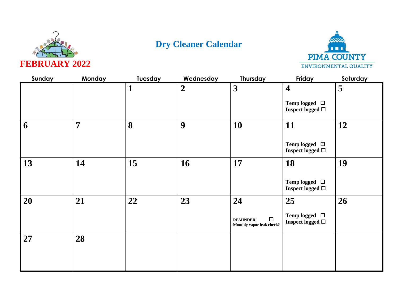



| Sunday | Monday         | Tuesday | Wednesday      | Thursday                                                | Friday                                      | Saturday |
|--------|----------------|---------|----------------|---------------------------------------------------------|---------------------------------------------|----------|
|        |                | 1       | $\overline{2}$ | $\mathbf{3}$                                            | $\overline{\mathbf{4}}$                     | 5        |
|        |                |         |                |                                                         | Temp logged $\Box$<br>Inspect logged $\Box$ |          |
| 6      | $\overline{7}$ | 8       | 9              | 10                                                      | 11                                          | 12       |
|        |                |         |                |                                                         | Temp logged $\Box$<br>Inspect logged $\Box$ |          |
| 13     | 14             | 15      | 16             | 17                                                      | 18                                          | 19       |
|        |                |         |                |                                                         | Temp logged $\Box$<br>Inspect logged $\Box$ |          |
| 20     | 21             | 22      | 23             | 24                                                      | 25                                          | 26       |
|        |                |         |                | $\Box$<br><b>REMINDER!</b><br>Monthly vapor leak check? | Temp logged $\Box$<br>Inspect logged $\Box$ |          |
| 27     | 28             |         |                |                                                         |                                             |          |
|        |                |         |                |                                                         |                                             |          |
|        |                |         |                |                                                         |                                             |          |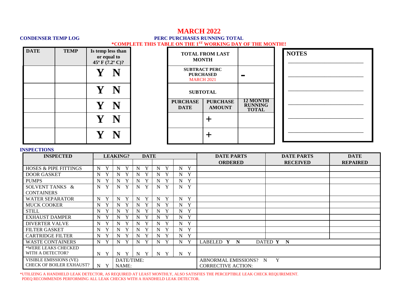### **MARCH 2022 CONDENSER TEMP LOG PERC PURCHASES RUNNING TOTAL \*COMPLETE THIS TABLE ON THE 1ST WORKING DAY OF THE MONTH!!**

| <b>DATE</b> | <b>TEMP</b> | Is temp less than<br>or equal to<br>$45^{\circ}$ F $(7.2^{\circ}$ C)?                                                                                                                                                                                                                                                                                                                                                               | <b>TOTAL FROM LAST</b><br><b>MONTH</b> |                                                               |                                                   |
|-------------|-------------|-------------------------------------------------------------------------------------------------------------------------------------------------------------------------------------------------------------------------------------------------------------------------------------------------------------------------------------------------------------------------------------------------------------------------------------|----------------------------------------|---------------------------------------------------------------|---------------------------------------------------|
|             |             | $\mathbf{Y}% _{T}=\mathbf{Y}_{T}\!\left( a,b\right) ,\ \mathbf{Y}_{T}=\mathbf{Y}_{T} \!\left( a,b\right) ,\ \mathbf{Y}_{T}=\mathbf{Y}% _{T} \!\left( a,b\right) ,\ \mathbf{Y}_{T}=\mathbf{Y}% _{T} \!\left( a,b\right) ,\ \mathbf{Y}_{T}=\mathbf{Y}% _{T} \!\left( a,b\right) ,\ \mathbf{Y}_{T}=\mathbf{Y}% _{T} \!\left( a,b\right) ,\ \mathbf{Y}_{T}=\mathbf{Y}% _{T} \!\left( a,b\right) ,\ \mathbf{Y}_{T}=\mathbf{Y}% _{T} \!\$ |                                        | <b>SUBTRACT PERC</b><br><b>PURCHASED</b><br><b>MARCH 2021</b> | <b>The Second Service</b>                         |
|             |             | $\mathbf{Y}% _{0}$                                                                                                                                                                                                                                                                                                                                                                                                                  |                                        | <b>SUBTOTAL</b>                                               |                                                   |
|             |             | Y                                                                                                                                                                                                                                                                                                                                                                                                                                   | <b>PURCHASE</b><br><b>DATE</b>         | <b>PURCHASE</b><br><b>AMOUNT</b>                              | <b>12 MONTH</b><br><b>RUNNING</b><br><b>TOTAL</b> |
|             |             | $\mathbf{Y}% _{0}$                                                                                                                                                                                                                                                                                                                                                                                                                  |                                        |                                                               |                                                   |
|             |             |                                                                                                                                                                                                                                                                                                                                                                                                                                     |                                        |                                                               |                                                   |

| <b>NOTES</b> |  |  |
|--------------|--|--|
|              |  |  |
|              |  |  |
|              |  |  |
|              |  |  |
|              |  |  |
|              |  |  |
|              |  |  |

### **INSPECTIONS**

| <b>INSPECTED</b>                 |                  | <b>LEAKING?</b>   | <b>DATE</b>       |                  |                  | <b>DATE PARTS</b>         | <b>DATE PARTS</b> | <b>DATE</b>     |
|----------------------------------|------------------|-------------------|-------------------|------------------|------------------|---------------------------|-------------------|-----------------|
|                                  |                  |                   |                   |                  |                  | <b>ORDERED</b>            | <b>RECEIVED</b>   | <b>REPAIRED</b> |
| <b>HOSES &amp; PIPE FITTINGS</b> | Y<br>N           | N<br>Y            | Y<br>N            | Y<br>N           | Y<br>N           |                           |                   |                 |
| <b>DOOR GASKET</b>               | Y<br>N           | Y<br>N            | N<br>$\mathbf{v}$ | Y<br>N           | Y<br>N           |                           |                   |                 |
| <b>PUMPS</b>                     | Y<br>N           | Y<br>N            | N<br>$\mathbf v$  | Y<br>N           | Y<br>N           |                           |                   |                 |
| SOLVENT TANKS &                  | Y<br>N           | Y<br>N            | Y<br>N            | Y<br>N           | Y<br>N           |                           |                   |                 |
| <b>CONTAINERS</b>                |                  |                   |                   |                  |                  |                           |                   |                 |
| <b>WATER SEPARATOR</b>           | Y<br>$N_{\rm}$   | Y<br>N            | Y<br>$\mathbf N$  | Y<br>N           | Y<br>N           |                           |                   |                 |
| <b>MUCK COOKER</b>               | N<br>Y           | Y<br>N            | $\mathbf N$<br>Y  | Y<br>N           | Y<br>N           |                           |                   |                 |
| <b>STILL</b>                     | $\mathbf N$<br>Y | Y<br>N            | N<br>Y            | Y<br>N           | Y<br>N           |                           |                   |                 |
| <b>EXHAUST DAMPER</b>            | Y<br>$\mathbf N$ | Y<br>N            | Y<br>N            | Y<br>N           | Y<br>$\mathbf N$ |                           |                   |                 |
| <b>DIVERTER VALVE</b>            | N                | $\mathbf{v}$<br>N | N<br>$\mathbf{v}$ | Y<br>N           | Y<br>N           |                           |                   |                 |
| <b>FILTER GASKET</b>             | N                | $\mathbf v$<br>N  | N                 | Y<br>N           | N<br>Y           |                           |                   |                 |
| <b>CARTRIDGE FILTER</b>          | N                | $\mathbf{v}$<br>N | N                 | Y<br>N           | Y<br>N           |                           |                   |                 |
| <b>WASTE CONTAINERS</b>          | N<br>Y           | Y<br>N            | Y<br>N            | Y<br>N           | Y<br>N           | LABELED Y N               | DATED Y N         |                 |
| *WERE LEAKS CHECKED              |                  |                   |                   |                  |                  |                           |                   |                 |
| WITH A DETECTOR?                 | N Y              | Y<br>N            | N<br>Y            | $\mathbf N$<br>Y | Y<br>$N_{\rm}$   |                           |                   |                 |
| VISIBLE EMISSIONS (VE)           |                  | DATE/TIME:        |                   |                  |                  | ABNORMAL EMISSIONS? N     | Y                 |                 |
| <b>CHECK OF BOILER EXHAUST?</b>  | N<br>Y           | NAME:             |                   |                  |                  | <b>CORRECTIVE ACTION:</b> |                   |                 |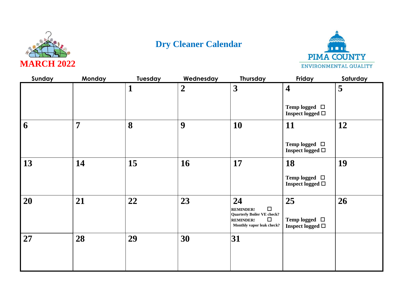



| Sunday | Monday         | Tuesday | Wednesday      | <b>Thursday</b>                                                                                                            | Friday                                      | Saturday |
|--------|----------------|---------|----------------|----------------------------------------------------------------------------------------------------------------------------|---------------------------------------------|----------|
|        |                | 1       | $\overline{2}$ | $\mathbf{3}$                                                                                                               | $\overline{\mathbf{4}}$                     | 5        |
|        |                |         |                |                                                                                                                            | Temp logged $\Box$<br>Inspect logged $\Box$ |          |
| 6      | $\overline{7}$ | 8       | 9              | 10                                                                                                                         | 11                                          | 12       |
|        |                |         |                |                                                                                                                            | Temp logged $\Box$<br>Inspect logged $\Box$ |          |
| 13     | 14             | 15      | 16             | 17                                                                                                                         | 18                                          | 19       |
|        |                |         |                |                                                                                                                            | Temp logged $\Box$<br>Inspect logged $\Box$ |          |
| 20     | 21             | 22      | 23             | 24                                                                                                                         | 25                                          | 26       |
|        |                |         |                | $\Box$<br><b>REMINDER!</b><br><b>Quarterly Boiler VE check?</b><br>$\Box$<br><b>REMINDER!</b><br>Monthly vapor leak check? | Temp logged $\Box$<br>Inspect logged $\Box$ |          |
| 27     | 28             | 29      | 30             | 31                                                                                                                         |                                             |          |
|        |                |         |                |                                                                                                                            |                                             |          |
|        |                |         |                |                                                                                                                            |                                             |          |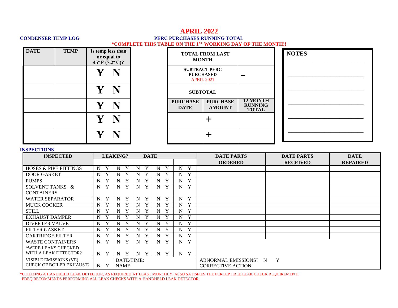## **APRIL 2022 CONDENSER TEMP LOG PERC PURCHASES RUNNING TOTAL \*COMPLETE THIS TABLE ON THE 1ST WORKING DAY OF THE MONTH!!**

| <b>DATE</b> | <b>TEMP</b> | Is temp less than<br>or equal to<br>45 $\rm{^{\circ}F}$ (7.2 $\rm{^{\circ}C}$ )? |   | <b>TOTAL FROM LA</b><br><b>MONTH</b>                          |                             |
|-------------|-------------|----------------------------------------------------------------------------------|---|---------------------------------------------------------------|-----------------------------|
|             |             | $\mathbf{Y}$                                                                     | N | <b>SUBTRACT PERC</b><br><b>PURCHASED</b><br><b>APRIL 2021</b> |                             |
|             |             | $\mathbf{Y}$                                                                     | N | <b>SUBTOTAL</b>                                               |                             |
|             |             | $\mathbf V$                                                                      | N | <b>PURCHASE</b><br><b>DATE</b>                                | <b>PURCH</b><br><b>AMOU</b> |
|             |             | Y N                                                                              |   |                                                               |                             |
|             |             |                                                                                  |   |                                                               |                             |

| <b>TOTAL FROM LAST</b><br><b>MONTH</b>                        |                                  |                                                   |
|---------------------------------------------------------------|----------------------------------|---------------------------------------------------|
| <b>SUBTRACT PERC</b><br><b>PURCHASED</b><br><b>APRIL 2021</b> |                                  |                                                   |
| <b>SUBTOTAL</b>                                               |                                  |                                                   |
| <b>PURCHASE</b><br><b>DATE</b>                                | <b>PURCHASE</b><br><b>AMOUNT</b> | <b>12 MONTH</b><br><b>RUNNING</b><br><b>TOTAL</b> |
|                                                               |                                  |                                                   |
|                                                               |                                  |                                                   |

|  | <b>NOTES</b> |  |  |
|--|--------------|--|--|

### **INSPECTIONS**

| <b>INSPECTED</b>                 |                   | <b>LEAKING?</b>  | <b>DATE</b>       |                  |                           | <b>DATE PARTS</b>         | <b>DATE PARTS</b> | <b>DATE</b>     |
|----------------------------------|-------------------|------------------|-------------------|------------------|---------------------------|---------------------------|-------------------|-----------------|
|                                  |                   |                  |                   |                  |                           | <b>ORDERED</b>            | <b>RECEIVED</b>   | <b>REPAIRED</b> |
| <b>HOSES &amp; PIPE FITTINGS</b> | Y<br>N            | Y<br>N           | Y<br>N            | Y<br>N           | Y<br>N                    |                           |                   |                 |
| <b>DOOR GASKET</b>               | N<br>$\mathbf{v}$ | N                | $\mathbf{v}$<br>N | Y<br>N           | Y<br>N                    |                           |                   |                 |
| <b>PUMPS</b>                     | N                 | N                | $\mathbf{v}$<br>N | Y<br>N           | Y<br>N                    |                           |                   |                 |
| SOLVENT TANKS &                  | Y<br>N            | Y<br>N           | Y<br>N            | Y<br>N           | Y<br>N                    |                           |                   |                 |
| <b>CONTAINERS</b>                |                   |                  |                   |                  |                           |                           |                   |                 |
| <b>WATER SEPARATOR</b>           | Y<br>N            | Y<br>N           | Y<br>N            | Y<br>N           | Y<br>N                    |                           |                   |                 |
| <b>MUCK COOKER</b>               | N<br>Y            | Y<br>N           | Y<br>N            | Y<br>N           | Y<br>N                    |                           |                   |                 |
| <b>STILL</b>                     | N                 | N                | N                 | Y<br>N           | Y<br>N                    |                           |                   |                 |
| <b>EXHAUST DAMPER</b>            | N                 | N                | $\mathbf{v}$<br>N | Y<br>N           | Y<br>N                    |                           |                   |                 |
| <b>DIVERTER VALVE</b>            | N                 | N                | N                 | Y<br>N           | Y<br>N                    |                           |                   |                 |
| <b>FILTER GASKET</b>             | N                 | N                | N                 | Y<br>N           | Y<br>N                    |                           |                   |                 |
| <b>CARTRIDGE FILTER</b>          | N                 | N                | N                 | Y<br>N           | Y<br>N                    |                           |                   |                 |
| <b>WASTE CONTAINERS</b>          | N<br>Y            | Y<br>N           | Y<br>N            | Y<br>N           | Y<br>$\mathbf N$          |                           |                   |                 |
| *WERE LEAKS CHECKED              |                   |                  |                   |                  |                           |                           |                   |                 |
| WITH A LEAK DETECTOR?            | $\mathbf N$<br>Y  | Y<br>$\mathbf N$ | Y<br>N            | Y<br>$\mathbf N$ | $\mathbf{Y}$<br>$N_{\rm}$ |                           |                   |                 |
| VISIBLE EMISSIONS (VE)           |                   | DATE/TIME:       |                   |                  |                           | ABNORMAL EMISSIONS? N     | Y                 |                 |
| <b>CHECK OF BOILER EXHAUST?</b>  | N<br>Y            | NAME:            |                   |                  |                           | <b>CORRECTIVE ACTION:</b> |                   |                 |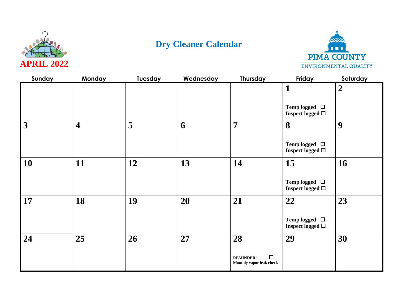



| Sunday          | Monday                  | Tuesday | Wednesday | <b>Thursday</b>                                              | Friday                                                         | Saturday       |
|-----------------|-------------------------|---------|-----------|--------------------------------------------------------------|----------------------------------------------------------------|----------------|
|                 |                         |         |           |                                                              | $\mathbf{1}$<br>Temp logged $\Box$<br>Inspect logged $\square$ | $\overline{2}$ |
| $\vert 3 \vert$ | $\overline{\mathbf{4}}$ | 5       | 6         | 7                                                            | 8<br>Temp logged $\Box$<br>Inspect logged $\Box$               | 9              |
| <b>10</b>       | 11                      | 12      | 13        | 14                                                           | 15<br>Temp logged $\Box$<br>Inspect logged $\Box$              | 16             |
| $\vert$ 17      | 18                      | 19      | 20        | 21                                                           | 22<br>Temp logged $\Box$<br>Inspect logged $\square$           | 23             |
| 24              | 25                      | 26      | 27        | 28<br>$\Box$<br><b>REMINDER!</b><br>Monthly vapor leak check | 29                                                             | 30             |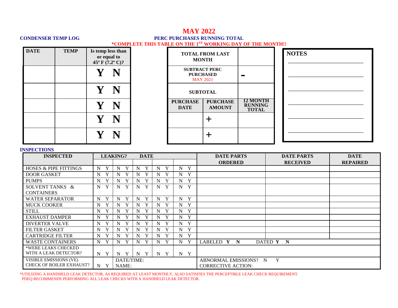## **MAY 2022 CONDENSER TEMP LOG PERC PURCHASES RUNNING TOTAL \*COMPLETE THIS TABLE ON THE 1ST WORKING DAY OF THE MONTH!!**

| <b>DATE</b> | <b>TEMP</b> | Is temp less than<br>or equal to<br>$45^{\circ}$ F $(7.2^{\circ}$ C)? | <b>TOTAL FROM LAST</b><br><b>MONTH</b> |                                                             |                                                   |
|-------------|-------------|-----------------------------------------------------------------------|----------------------------------------|-------------------------------------------------------------|---------------------------------------------------|
|             |             |                                                                       |                                        | <b>SUBTRACT PERC</b><br><b>PURCHASED</b><br><b>MAY 2021</b> |                                                   |
|             |             | $\mathbf{Y}$ .<br>N                                                   |                                        | <b>SUBTOTAL</b>                                             |                                                   |
|             |             |                                                                       | <b>PURCHASE</b><br><b>DATE</b>         | <b>PURCHASE</b><br><b>AMOUNT</b>                            | <b>12 MONTH</b><br><b>RUNNING</b><br><b>TOTAL</b> |
|             |             |                                                                       |                                        |                                                             |                                                   |
|             |             |                                                                       |                                        |                                                             |                                                   |

| <b>NOTES</b> |  |  |  |  |  |  |  |  |  |  |  |
|--------------|--|--|--|--|--|--|--|--|--|--|--|
|              |  |  |  |  |  |  |  |  |  |  |  |
|              |  |  |  |  |  |  |  |  |  |  |  |
|              |  |  |  |  |  |  |  |  |  |  |  |
|              |  |  |  |  |  |  |  |  |  |  |  |
|              |  |  |  |  |  |  |  |  |  |  |  |
|              |  |  |  |  |  |  |  |  |  |  |  |
|              |  |  |  |  |  |  |  |  |  |  |  |

#### **INSPECTIONS**

| <b>INSPECTED</b>                 |                  | <b>LEAKING?</b>   | <b>DATE</b>       |        |                  | <b>DATE PARTS</b>          | <b>DATE PARTS</b> | <b>DATE</b>     |  |  |
|----------------------------------|------------------|-------------------|-------------------|--------|------------------|----------------------------|-------------------|-----------------|--|--|
|                                  |                  |                   |                   |        |                  | <b>ORDERED</b>             | <b>RECEIVED</b>   | <b>REPAIRED</b> |  |  |
| <b>HOSES &amp; PIPE FITTINGS</b> | Y<br>N           | N<br>Y            | Y<br>N            | Y<br>N | Y<br>N           |                            |                   |                 |  |  |
| <b>DOOR GASKET</b>               | Y<br>N           | Y<br>N            | N<br>$\mathbf{v}$ | Y<br>N | Y<br>N           |                            |                   |                 |  |  |
| <b>PUMPS</b>                     | Y<br>N           | Y<br>N            | N<br>$\mathbf v$  | Y<br>N | Y<br>N           |                            |                   |                 |  |  |
| SOLVENT TANKS &                  | Y<br>N           | Y<br>N            | Y<br>N            | Y<br>N | Y<br>N           |                            |                   |                 |  |  |
| <b>CONTAINERS</b>                |                  |                   |                   |        |                  |                            |                   |                 |  |  |
| <b>WATER SEPARATOR</b>           | Y<br>$N_{\rm}$   | Y<br>N            | Y<br>$\mathbf N$  | Y<br>N | Y<br>N           |                            |                   |                 |  |  |
| <b>MUCK COOKER</b>               | N<br>Y           | Y<br>N            | $\mathbf N$<br>Y  | Y<br>N | Y<br>N           |                            |                   |                 |  |  |
| <b>STILL</b>                     | $\mathbf N$<br>Y | Y<br>N            | N<br>Y            | Y<br>N | Y<br>N           |                            |                   |                 |  |  |
| <b>EXHAUST DAMPER</b>            | $\mathbf N$<br>Y | Y<br>N            | Y<br>N            | Y<br>N | Y<br>$\mathbf N$ |                            |                   |                 |  |  |
| <b>DIVERTER VALVE</b>            | N                | $\mathbf{v}$<br>N | N<br>$\mathbf{v}$ | Y<br>N | Y<br>N           |                            |                   |                 |  |  |
| <b>FILTER GASKET</b>             | N                | $\mathbf v$<br>N  | N                 | Y<br>N | N<br>Y           |                            |                   |                 |  |  |
| <b>CARTRIDGE FILTER</b>          | N                | $\mathbf{v}$<br>N | N                 | Y<br>N | Y<br>N           |                            |                   |                 |  |  |
| <b>WASTE CONTAINERS</b>          | N<br>Y           | Y<br>N            | Y<br>N            | Y<br>N | Y<br>N           | LABELED Y N                | DATED Y N         |                 |  |  |
| *WERE LEAKS CHECKED              |                  |                   |                   |        |                  |                            |                   |                 |  |  |
| WITH A LEAK DETECTOR?            | N Y              | Y<br>N            | N<br>Y            | N<br>Y | Y<br>$N_{\rm}$   |                            |                   |                 |  |  |
| VISIBLE EMISSIONS (VE)           |                  | DATE/TIME:        |                   |        |                  | Y<br>ABNORMAL EMISSIONS? N |                   |                 |  |  |
| <b>CHECK OF BOILER EXHAUST?</b>  | N<br>Y           | NAME:             |                   |        |                  | <b>CORRECTIVE ACTION:</b>  |                   |                 |  |  |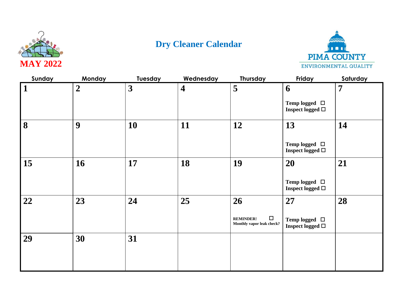



| Sunday       | <b>Monday</b>    | Tuesday | Wednesday               | Thursday                                                | Friday                                         | Saturday       |
|--------------|------------------|---------|-------------------------|---------------------------------------------------------|------------------------------------------------|----------------|
| $\mathbf{1}$ | $\boldsymbol{2}$ | 3       | $\overline{\mathbf{4}}$ | 5                                                       | 6                                              | $\overline{7}$ |
|              |                  |         |                         |                                                         | Temp logged $\Box$<br>Inspect logged $\Box$    |                |
| 8            | 9                | 10      | 11                      | 12                                                      | 13                                             | 14             |
|              |                  |         |                         |                                                         | Temp logged $\Box$<br>Inspect logged $\Box$    |                |
| 15           | 16               | 17      | 18                      | 19                                                      | 20                                             | 21             |
|              |                  |         |                         |                                                         | Temp logged $\Box$<br>Inspect logged $\Box$    |                |
| 22           | 23               | 24      | 25                      | 26                                                      | 27                                             | 28             |
|              |                  |         |                         | $\Box$<br><b>REMINDER!</b><br>Monthly vapor leak check? | Temp logged $\Box$<br>Inspect logged $\square$ |                |
| 29           | 30               | 31      |                         |                                                         |                                                |                |
|              |                  |         |                         |                                                         |                                                |                |
|              |                  |         |                         |                                                         |                                                |                |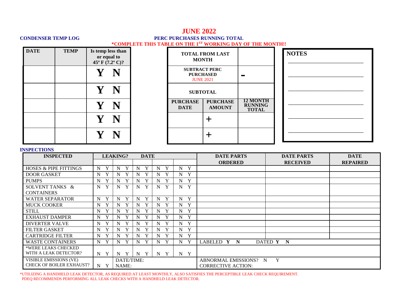## **JUNE 2022 CONDENSER TEMP LOG PERC PURCHASES RUNNING TOTAL \*COMPLETE THIS TABLE ON THE 1ST WORKING DAY OF THE MONTH!!**

| <b>DATE</b> | <b>TEMP</b> | Is temp less than<br>or equal to<br>45 $\rm{^{\circ}F}$ (7.2 $\rm{^{\circ}C}$ )? |  | <b>TOTAL FROM LAST</b><br><b>MONTH</b> |                                          |                                                   |
|-------------|-------------|----------------------------------------------------------------------------------|--|----------------------------------------|------------------------------------------|---------------------------------------------------|
|             |             |                                                                                  |  | <b>JUNE 2021</b>                       | <b>SUBTRACT PERC</b><br><b>PURCHASED</b> |                                                   |
|             |             | $\mathbf{Y} \mid \mathbf{N}$                                                     |  |                                        | <b>SUBTOTAL</b>                          |                                                   |
|             |             | Y                                                                                |  | <b>PURCHASE</b><br><b>DATE</b>         | <b>PURCHASE</b><br><b>AMOUNT</b>         | <b>12 MONTH</b><br><b>RUNNING</b><br><b>TOTAL</b> |
|             |             | $\mathbf{Y}$                                                                     |  |                                        |                                          |                                                   |
|             |             |                                                                                  |  |                                        |                                          |                                                   |

| <b>NOTES</b> |  |  |
|--------------|--|--|
|              |  |  |
|              |  |  |
|              |  |  |
|              |  |  |
|              |  |  |
|              |  |  |
|              |  |  |

### **INSPECTIONS**

| <b>INSPECTED</b>                 |                  | <b>LEAKING?</b>   | <b>DATE</b>       |                  |        | <b>DATE PARTS</b>          | <b>DATE PARTS</b> | <b>DATE</b>     |  |  |
|----------------------------------|------------------|-------------------|-------------------|------------------|--------|----------------------------|-------------------|-----------------|--|--|
|                                  |                  |                   |                   |                  |        | <b>ORDERED</b>             | <b>RECEIVED</b>   | <b>REPAIRED</b> |  |  |
| <b>HOSES &amp; PIPE FITTINGS</b> | Y<br>N           | Y<br>N            | Y<br>N            | Y<br>N           | Y<br>N |                            |                   |                 |  |  |
| <b>DOOR GASKET</b>               | Y<br>N           | N<br>v            | N<br>XZ.          | N<br>Y           | Y<br>N |                            |                   |                 |  |  |
| <b>PUMPS</b>                     | Y<br>N           | $\mathbf v$<br>N  | N<br>XZ.          | N<br>Y           | Y<br>N |                            |                   |                 |  |  |
| SOLVENT TANKS &                  | Y<br>N           | Y<br>N            | Y<br>N            | Y<br>N           | Y<br>N |                            |                   |                 |  |  |
| <b>CONTAINERS</b>                |                  |                   |                   |                  |        |                            |                   |                 |  |  |
| <b>WATER SEPARATOR</b>           | Y<br>$N_{\rm}$   | Y<br>N            | Y<br>N            | Y<br>N           | Y<br>N |                            |                   |                 |  |  |
| <b>MUCK COOKER</b>               | N<br>Y           | Y<br>N            | $\mathbf{v}$<br>N | Y<br>N           | Y<br>N |                            |                   |                 |  |  |
| <b>STILL</b>                     | N<br>Y           | Y<br>N            | N                 | N<br>Y           | Y<br>N |                            |                   |                 |  |  |
| <b>EXHAUST DAMPER</b>            | $N_{\rm}$<br>Y   | N<br>Y            | N<br>$\mathbf{v}$ | Y<br>N           | Y<br>N |                            |                   |                 |  |  |
| <b>DIVERTER VALVE</b>            | N<br>Y           | $\mathbf{v}$<br>N | N                 | Y<br>N           | Y<br>N |                            |                   |                 |  |  |
| <b>FILTER GASKET</b>             | Y<br>N           | N<br>$\mathbf{v}$ | N                 | Y<br>N           | Y<br>N |                            |                   |                 |  |  |
| <b>CARTRIDGE FILTER</b>          | Y<br>N           | $\mathbf v$<br>N  | N                 | Y<br>N           | Y<br>N |                            |                   |                 |  |  |
| <b>WASTE CONTAINERS</b>          | Y<br>N           | Y<br>N            | N                 | Y<br>$\mathbf N$ | Y<br>N | LABELED Y<br>N             | DATED Y N         |                 |  |  |
| *WERE LEAKS CHECKED              |                  |                   |                   |                  |        |                            |                   |                 |  |  |
| WITH A LEAK DETECTOR?            | $N_{\odot}$<br>Y | Y<br>N            | Y<br>N            | Y<br>$\mathbf N$ | Y<br>N |                            |                   |                 |  |  |
| VISIBLE EMISSIONS (VE)           |                  | DATE/TIME:        |                   |                  |        | Y<br>ABNORMAL EMISSIONS? N |                   |                 |  |  |
| <b>CHECK OF BOILER EXHAUST?</b>  | N<br>Y           | NAME:             |                   |                  |        | <b>CORRECTIVE ACTION:</b>  |                   |                 |  |  |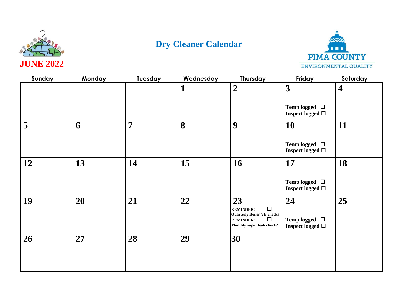



| Sunday | Monday | Tuesday        | Wednesday | Thursday                                                        | Friday                                      | Saturday                |
|--------|--------|----------------|-----------|-----------------------------------------------------------------|---------------------------------------------|-------------------------|
|        |        |                | 1         | $\overline{2}$                                                  | $\overline{\mathbf{3}}$                     | $\overline{\mathbf{4}}$ |
|        |        |                |           |                                                                 | Temp logged $\Box$<br>Inspect logged $\Box$ |                         |
| 5      | 6      | $\overline{7}$ | 8         | 9                                                               | 10                                          | 11                      |
|        |        |                |           |                                                                 | Temp logged $\Box$<br>Inspect logged $\Box$ |                         |
| 12     | 13     | 14             | 15        | 16                                                              | 17                                          | 18                      |
|        |        |                |           |                                                                 | Temp logged $\Box$<br>Inspect logged $\Box$ |                         |
| 19     | 20     | 21             | 22        | 23                                                              | 24                                          | 25                      |
|        |        |                |           | $\Box$<br><b>REMINDER!</b><br><b>Quarterly Boiler VE check?</b> |                                             |                         |
|        |        |                |           | $\Box$<br><b>REMINDER!</b><br>Monthly vapor leak check?         | Temp logged $\Box$<br>Inspect logged $\Box$ |                         |
| 26     | 27     | 28             | 29        | 30                                                              |                                             |                         |
|        |        |                |           |                                                                 |                                             |                         |
|        |        |                |           |                                                                 |                                             |                         |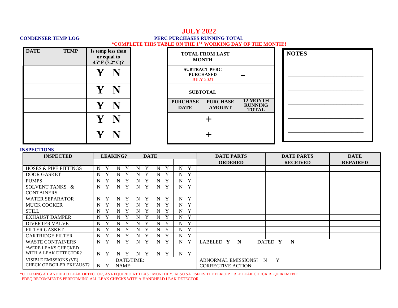## **JULY 2022 CONDENSER TEMP LOG PERC PURCHASES RUNNING TOTAL \*COMPLETE THIS TABLE ON THE 1ST WORKING DAY OF THE MONTH!!**

| <b>DATE</b> | <b>TEMP</b> |    | Is temp less than<br>or equal to<br>45° F $(7.2^{\circ}$ C)? | <b>MONTH</b>                                                 | <b>TOTAL FROM LAST</b>           |                                                   | <b>NOTES</b> |
|-------------|-------------|----|--------------------------------------------------------------|--------------------------------------------------------------|----------------------------------|---------------------------------------------------|--------------|
|             |             |    | N                                                            | <b>SUBTRACT PERC</b><br><b>PURCHASED</b><br><b>JULY 2021</b> |                                  |                                                   |              |
|             |             |    | N                                                            | <b>SUBTOTAL</b>                                              |                                  |                                                   |              |
|             |             |    | N                                                            | <b>PURCHASE</b><br><b>DATE</b>                               | <b>PURCHASE</b><br><b>AMOUNT</b> | <b>12 MONTH</b><br><b>RUNNING</b><br><b>TOTAL</b> |              |
|             |             | Ł7 | N                                                            |                                                              | ╈                                |                                                   |              |
|             |             |    | N                                                            |                                                              |                                  |                                                   |              |

### **INSPECTIONS**

| <b>INSPECTED</b>                 |                  | <b>LEAKING?</b>   | <b>DATE</b>       |                  |                  | <b>DATE PARTS</b>         | <b>DATE PARTS</b> | <b>DATE</b>     |
|----------------------------------|------------------|-------------------|-------------------|------------------|------------------|---------------------------|-------------------|-----------------|
|                                  |                  |                   |                   |                  |                  | <b>ORDERED</b>            | <b>RECEIVED</b>   | <b>REPAIRED</b> |
| <b>HOSES &amp; PIPE FITTINGS</b> | Y<br>N           | N<br>Y            | $\mathbf{v}$<br>N | Y<br>N           | Y<br>N           |                           |                   |                 |
| <b>DOOR GASKET</b>               | Y<br>N           | $\mathbf{v}$<br>N | $\mathbf{v}$<br>N | Y<br>N           | Y<br>N           |                           |                   |                 |
| <b>PUMPS</b>                     | Y<br>$N_{\rm}$   | $\mathbf v$<br>N  | N                 | Y<br>N           | Y<br>N           |                           |                   |                 |
| SOLVENT TANKS &                  | Y<br>N           | Y<br>N            | $\mathbf{V}$<br>N | Y<br>N           | Y<br>N           |                           |                   |                 |
| <b>CONTAINERS</b>                |                  |                   |                   |                  |                  |                           |                   |                 |
| <b>WATER SEPARATOR</b>           | Y<br>$N_{\odot}$ | Y<br>N            | Y<br>N            | Y<br>N           | Y<br>N           |                           |                   |                 |
| <b>MUCK COOKER</b>               | Y<br>N           | N<br>Y            | Y<br>N            | Y<br>N           | Y<br>N           |                           |                   |                 |
| <b>STILL</b>                     | $N_{\rm}$<br>Y   | N<br>Y            | N                 | Y<br>N           | Y<br>N           |                           |                   |                 |
| <b>EXHAUST DAMPER</b>            | $N_{\rm}$<br>Y   | $\mathbf{v}$<br>N | N                 | Y<br>N           | Y<br>N           |                           |                   |                 |
| <b>DIVERTER VALVE</b>            | $N_{\odot}$<br>Y | $\mathbf{v}$<br>N | N                 | N<br>Y           | Y<br>N           |                           |                   |                 |
| <b>FILTER GASKET</b>             | Y<br>N           | v<br>N            | N                 | Y<br>N           | Y<br>N           |                           |                   |                 |
| <b>CARTRIDGE FILTER</b>          | Y<br>N           | N                 | N                 | N<br>Y           | Y<br>N           |                           |                   |                 |
| <b>WASTE CONTAINERS</b>          | Y<br>N           | Y<br>N            | N<br>$\mathbf{v}$ | Y<br>$\mathbf N$ | Y<br>N           | LABELED Y<br>N            | DATED Y<br>N      |                 |
| *WERE LEAKS CHECKED              |                  |                   |                   |                  |                  |                           |                   |                 |
| WITH A LEAK DETECTOR?            | Y<br>N           | Y<br>N            | Y<br>N            | Y<br>$\mathbf N$ | Y<br>$N_{\odot}$ |                           |                   |                 |
| VISIBLE EMISSIONS (VE)           |                  | DATE/TIME:        |                   |                  |                  | ABNORMAL EMISSIONS? N     | Y                 |                 |
| <b>CHECK OF BOILER EXHAUST?</b>  | N<br>Y           | NAME:             |                   |                  |                  | <b>CORRECTIVE ACTION:</b> |                   |                 |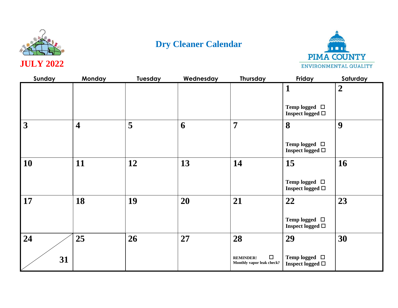



| Sunday          | <b>Monday</b>           | Tuesday | Wednesday | <b>Thursday</b>                                         | Friday                                         | Saturday       |
|-----------------|-------------------------|---------|-----------|---------------------------------------------------------|------------------------------------------------|----------------|
|                 |                         |         |           |                                                         | 1                                              | $\overline{2}$ |
|                 |                         |         |           |                                                         | Temp logged $\Box$<br>Inspect logged $\square$ |                |
| $\vert 3 \vert$ | $\overline{\mathbf{4}}$ | 5       | 6         | 7                                                       | 8                                              | 9              |
|                 |                         |         |           |                                                         | Temp logged $\Box$<br>Inspect logged $\Box$    |                |
| <b>10</b>       | 11                      | 12      | 13        | 14                                                      | 15                                             | 16             |
|                 |                         |         |           |                                                         | Temp logged $\Box$<br>Inspect logged $\Box$    |                |
| $\vert$ 17      | 18                      | 19      | 20        | 21                                                      | 22                                             | 23             |
|                 |                         |         |           |                                                         | Temp logged $\Box$<br>Inspect logged $\Box$    |                |
| 24              | 25                      | 26      | 27        | 28                                                      | 29                                             | 30             |
| 31              |                         |         |           | $\Box$<br><b>REMINDER!</b><br>Monthly vapor leak check? | Temp logged $\Box$<br>Inspect logged $\Box$    |                |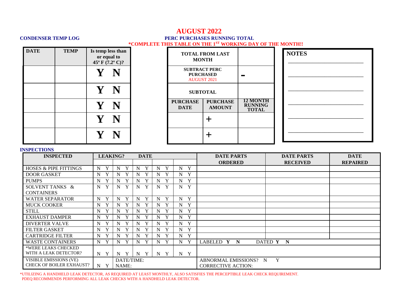## **AUGUST 2022 CONDENSER TEMP LOG PERC PURCHASES RUNNING TOTAL \*COMPLETE THIS TABLE ON THE 1ST WORKING DAY OF THE MONTH!!**

| <b>DATE</b> | <b>TEMP</b> |              | Is temp less than<br>or equal to<br>45 $\rm{^{\circ}F}$ (7.2 $\rm{^{\circ}C}$ )? | <b>TOTAL FROM LA</b><br><b>MONTH</b>       |                             |
|-------------|-------------|--------------|----------------------------------------------------------------------------------|--------------------------------------------|-----------------------------|
|             |             | $\mathbf{V}$ |                                                                                  | <b>SUBTRACT PERC</b><br><b>AUGUST 2021</b> | <b>PURCHASED</b>            |
|             |             | $\mathbf V$  |                                                                                  |                                            | <b>SUBTOTAL</b>             |
|             |             |              |                                                                                  | <b>PURCHASE</b><br><b>DATE</b>             | <b>PURCH</b><br><b>AMOU</b> |
|             |             | $\mathbf V$  |                                                                                  |                                            |                             |
|             |             |              |                                                                                  |                                            |                             |

| <b>MONTH</b>                                                   | <b>TOTAL FROM LAST</b>           |                                                   |
|----------------------------------------------------------------|----------------------------------|---------------------------------------------------|
| <b>SUBTRACT PERC</b><br><b>PURCHASED</b><br><b>AUGUST 2021</b> |                                  |                                                   |
| <b>SUBTOTAL</b>                                                |                                  |                                                   |
| <b>PURCHASE</b><br><b>DATE</b>                                 | <b>PURCHASE</b><br><b>AMOUNT</b> | <b>12 MONTH</b><br><b>RUNNING</b><br><b>TOTAL</b> |
|                                                                |                                  |                                                   |
|                                                                |                                  |                                                   |

| <b>NOTES</b> |  |  |  |
|--------------|--|--|--|
|              |  |  |  |
|              |  |  |  |
|              |  |  |  |
|              |  |  |  |
|              |  |  |  |
|              |  |  |  |

### **INSPECTIONS**

| <b>INSPECTED</b>                 | <b>LEAKING?</b>  |            | <b>DATE</b> |        |                | <b>DATE PARTS</b>         | <b>DATE PARTS</b> | <b>DATE</b>     |
|----------------------------------|------------------|------------|-------------|--------|----------------|---------------------------|-------------------|-----------------|
|                                  |                  |            |             |        |                | <b>ORDERED</b>            | <b>RECEIVED</b>   | <b>REPAIRED</b> |
| <b>HOSES &amp; PIPE FITTINGS</b> | N<br>Y           | Y<br>N     | Y<br>N      | Y<br>N | Y<br>$N_{\rm}$ |                           |                   |                 |
| <b>DOOR GASKET</b>               | N                | N          | N           | Y<br>N | Y<br>N         |                           |                   |                 |
| <b>PUMPS</b>                     | N                | Y<br>N     | Y<br>N      | Y<br>N | Y<br>N         |                           |                   |                 |
| SOLVENT TANKS &                  | Y<br>N           | Y<br>N     | Y<br>N      | Y<br>N | N<br>Y         |                           |                   |                 |
| <b>CONTAINERS</b>                |                  |            |             |        |                |                           |                   |                 |
| <b>WATER SEPARATOR</b>           | N<br>Y           | N<br>Y     | Y<br>N      | Y<br>N | Y<br>N         |                           |                   |                 |
| <b>MUCK COOKER</b>               | Y<br>N           | Y<br>N     | N<br>Y      | Y<br>N | Y<br>N         |                           |                   |                 |
| <b>STILL</b>                     | N                | N<br>Y     | N<br>Y      | Y<br>N | Y<br>N         |                           |                   |                 |
| <b>EXHAUST DAMPER</b>            | Y<br>N           | Y<br>N     | Y<br>N      | Y<br>N | N<br>Y         |                           |                   |                 |
| <b>DIVERTER VALVE</b>            | Y<br>$\mathbf N$ | Y<br>N     | N<br>Y      | Y<br>N | Y<br>N         |                           |                   |                 |
| <b>FILTER GASKET</b>             | N<br>Y           | Y<br>N     | N<br>Y      | Y<br>N | Y<br>N         |                           |                   |                 |
| <b>CARTRIDGE FILTER</b>          | N                | N          | N           | Y<br>N | Y<br>N         |                           |                   |                 |
| <b>WASTE CONTAINERS</b>          | Y<br>N           | Y<br>N     | Y<br>N      | Y<br>N | Y<br>$N_{\rm}$ | LABELED Y N               | DATED Y N         |                 |
| *WERE LEAKS CHECKED              |                  |            |             |        |                |                           |                   |                 |
| WITH A LEAK DETECTOR?            | N Y              | Y<br>N     | N<br>Y      | Y<br>N | Y<br>$N_{\rm}$ |                           |                   |                 |
| VISIBLE EMISSIONS (VE)           |                  | DATE/TIME: |             |        |                | ABNORMAL EMISSIONS? N     | Y                 |                 |
| <b>CHECK OF BOILER EXHAUST?</b>  | N<br>Y           | NAME:      |             |        |                | <b>CORRECTIVE ACTION:</b> |                   |                 |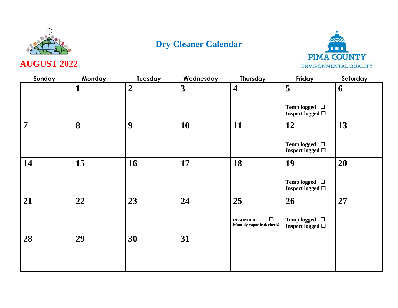



**AUGUST 2022**

| Sunday         | <b>Monday</b> | <b>Tuesday</b>   | Wednesday               | <b>Thursday</b>                                         | Friday                                         | Saturday |
|----------------|---------------|------------------|-------------------------|---------------------------------------------------------|------------------------------------------------|----------|
|                | 1             | $\boldsymbol{2}$ | $\overline{\mathbf{3}}$ | $\overline{\mathbf{4}}$                                 | 5                                              | 6        |
|                |               |                  |                         |                                                         | Temp logged $\Box$<br>Inspect logged $\Box$    |          |
| $\overline{7}$ | 8             | 9                | 10                      | 11                                                      | 12                                             | 13       |
|                |               |                  |                         |                                                         | Temp logged $\Box$<br>Inspect logged $\square$ |          |
| 14             | 15            | <b>16</b>        | 17                      | 18                                                      | 19                                             | 20       |
|                |               |                  |                         |                                                         | Temp logged $\Box$<br>Inspect logged $\square$ |          |
| 21             | 22            | 23               | 24                      | 25                                                      | 26                                             | 27       |
|                |               |                  |                         | $\Box$<br><b>REMINDER!</b><br>Monthly vapor leak check? | Temp logged $\Box$<br>Inspect logged □         |          |
| 28             | 29            | 30               | 31                      |                                                         |                                                |          |
|                |               |                  |                         |                                                         |                                                |          |
|                |               |                  |                         |                                                         |                                                |          |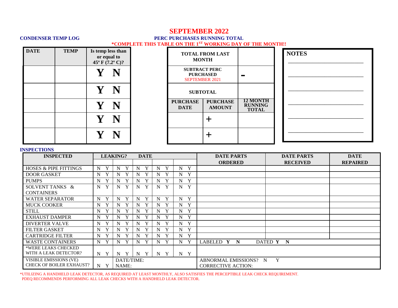## **SEPTEMBER 2022**

### **CONDENSER TEMP LOG PERC PURCHASES RUNNING TOTAL \*COMPLETE THIS TABLE ON THE 1ST WORKING DAY OF THE MONTH!!**

| <b>DATE</b> | <b>TEMP</b> | Is temp less than<br>or equal to<br>45° F $(7.2^{\circ}$ C)? |                                | <b>TOTAL FROM LAST</b><br><b>MONTH</b>                            |                                                   | <b>NOTES</b> |
|-------------|-------------|--------------------------------------------------------------|--------------------------------|-------------------------------------------------------------------|---------------------------------------------------|--------------|
|             |             |                                                              |                                | <b>SUBTRACT PERC</b><br><b>PURCHASED</b><br><b>SEPTEMBER 2021</b> | <b>The Second</b>                                 |              |
|             |             |                                                              |                                | <b>SUBTOTAL</b>                                                   |                                                   |              |
|             |             |                                                              | <b>PURCHASE</b><br><b>DATE</b> | <b>PURCHASE</b><br><b>AMOUNT</b>                                  | <b>12 MONTH</b><br><b>RUNNING</b><br><b>TOTAL</b> |              |
|             |             |                                                              |                                |                                                                   |                                                   |              |
|             |             |                                                              |                                |                                                                   |                                                   |              |

#### **INSPECTIONS**

| <b>INSPECTED</b>                 |                  | <b>LEAKING?</b>  | <b>DATE</b>      |        |                  | <b>DATE PARTS</b>         | <b>DATE PARTS</b> | <b>DATE</b>     |
|----------------------------------|------------------|------------------|------------------|--------|------------------|---------------------------|-------------------|-----------------|
|                                  |                  |                  |                  |        |                  | <b>ORDERED</b>            | <b>RECEIVED</b>   | <b>REPAIRED</b> |
| <b>HOSES &amp; PIPE FITTINGS</b> | N                | Y<br>N           | Y<br>N           | Y<br>N | Y<br>N           |                           |                   |                 |
| <b>DOOR GASKET</b>               | N                | N                | Y<br>N           | Y<br>N | Y<br>N           |                           |                   |                 |
| <b>PUMPS</b>                     | N<br>Y           | Y<br>N           | Y<br>N           | Y<br>N | Y<br>N           |                           |                   |                 |
| SOLVENT TANKS &                  | Y<br>N           | Y<br>N           | Y<br>N           | Y<br>N | Y<br>N           |                           |                   |                 |
| <b>CONTAINERS</b>                |                  |                  |                  |        |                  |                           |                   |                 |
| <b>WATER SEPARATOR</b>           | Y<br>N           | Y<br>N           | Y<br>N           | Y<br>N | Y<br>N           |                           |                   |                 |
| <b>MUCK COOKER</b>               | Y<br>N           | N                | Y<br>N           | Y<br>N | Y<br>N           |                           |                   |                 |
| <b>STILL</b>                     | N                | N                | N<br>Y           | Y<br>N | Y<br>N           |                           |                   |                 |
| <b>EXHAUST DAMPER</b>            | N                | $\bf{v}$<br>N    | N<br>Y           | Y<br>N | Y<br>N           |                           |                   |                 |
| <b>DIVERTER VALVE</b>            | N                | Y<br>N           | Y<br>N           | Y<br>N | Y<br>N           |                           |                   |                 |
| <b>FILTER GASKET</b>             | N                | N                | N                | Y<br>N | Y<br>$N_{\rm}$   |                           |                   |                 |
| <b>CARTRIDGE FILTER</b>          | Y<br>N           | N                | N                | Y<br>N | Y<br>N           |                           |                   |                 |
| <b>WASTE CONTAINERS</b>          | N                | N                | $\mathbf N$<br>Y | Y<br>N | Y<br>N           | LABELED Y<br>N            | DATED Y N         |                 |
| *WERE LEAKS CHECKED              |                  |                  |                  |        |                  |                           |                   |                 |
| WITH A LEAK DETECTOR?            | $N_{\odot}$<br>Y | Y<br>$\mathbf N$ | N<br>Y           | Y<br>N | Y<br>$N_{\odot}$ |                           |                   |                 |
| VISIBLE EMISSIONS (VE)           |                  | DATE/TIME:       |                  |        |                  | ABNORMAL EMISSIONS? N     | Y                 |                 |
| <b>CHECK OF BOILER EXHAUST?</b>  | N<br>Y           | NAME:            |                  |        |                  | <b>CORRECTIVE ACTION:</b> |                   |                 |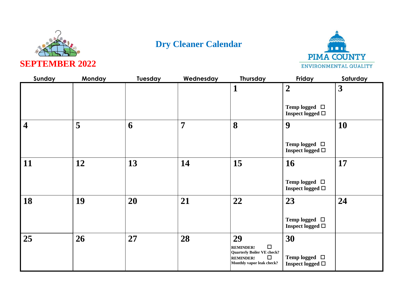



| Sunday                  | Monday | Tuesday | Wednesday | Thursday                                                                                                                         | Friday                                            | Saturday  |
|-------------------------|--------|---------|-----------|----------------------------------------------------------------------------------------------------------------------------------|---------------------------------------------------|-----------|
|                         |        |         |           | 1                                                                                                                                | $\boldsymbol{2}$                                  | 3         |
|                         |        |         |           |                                                                                                                                  | Temp logged $\Box$<br>Inspect logged $\Box$       |           |
| $\overline{\mathbf{4}}$ | 5      | 6       | 7         | 8                                                                                                                                | 9                                                 | <b>10</b> |
|                         |        |         |           |                                                                                                                                  | Temp logged $\Box$<br>Inspect logged $\Box$       |           |
| 11                      | 12     | 13      | 14        | 15                                                                                                                               | <b>16</b>                                         | 17        |
|                         |        |         |           |                                                                                                                                  | Temp logged $\Box$<br>Inspect logged $\Box$       |           |
| 18                      | 19     | 20      | 21        | 22                                                                                                                               | 23                                                | 24        |
|                         |        |         |           |                                                                                                                                  | Temp logged $\Box$<br>Inspect logged $\Box$       |           |
| 25                      | 26     | 27      | 28        | 29<br>$\Box$<br><b>REMINDER!</b><br><b>Quarterly Boiler VE check?</b><br>$\Box$<br><b>REMINDER!</b><br>Monthly vapor leak check? | 30<br>Temp logged $\Box$<br>Inspect logged $\Box$ |           |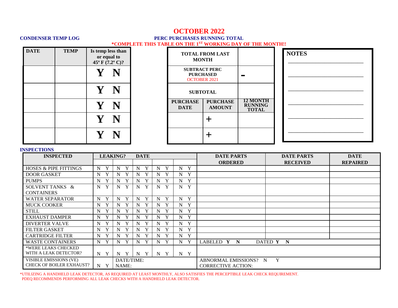## **OCTOBER 2022**

### **CONDENSER TEMP LOG PERC PURCHASES RUNNING TOTAL \*COMPLETE THIS TABLE ON THE 1ST WORKING DAY OF THE MONTH!!**

| <b>DATE</b> | <b>TEMP</b> | Is temp less than<br>or equal to<br>45° F $(7.2^{\circ}$ C)? |   |                                | <b>TOTAL FROM LAST</b><br><b>MONTH</b>                          |                                                   | <b>NOTES</b> |
|-------------|-------------|--------------------------------------------------------------|---|--------------------------------|-----------------------------------------------------------------|---------------------------------------------------|--------------|
|             |             |                                                              |   |                                | <b>SUBTRACT PERC</b><br><b>PURCHASED</b><br><b>OCTOBER 2021</b> | <b>The Second</b>                                 |              |
|             |             |                                                              |   |                                | <b>SUBTOTAL</b>                                                 |                                                   |              |
|             |             |                                                              | N | <b>PURCHASE</b><br><b>DATE</b> | <b>PURCHASE</b><br><b>AMOUNT</b>                                | <b>12 MONTH</b><br><b>RUNNING</b><br><b>TOTAL</b> |              |
|             |             |                                                              |   |                                | ╅                                                               |                                                   |              |
|             |             |                                                              |   |                                | ╈                                                               |                                                   |              |

#### **INSPECTIONS**

| <b>INSPECTED</b>                 |                  | <b>LEAKING?</b> | <b>DATE</b>      |        |                  | <b>DATE PARTS</b>         | <b>DATE PARTS</b> | <b>DATE</b>     |
|----------------------------------|------------------|-----------------|------------------|--------|------------------|---------------------------|-------------------|-----------------|
|                                  |                  |                 |                  |        |                  | <b>ORDERED</b>            | <b>RECEIVED</b>   | <b>REPAIRED</b> |
| <b>HOSES &amp; PIPE FITTINGS</b> | N                | Y<br>N          | Y<br>N           | Y<br>N | Y<br>N           |                           |                   |                 |
| <b>DOOR GASKET</b>               | N                | N               | Y<br>N           | Y<br>N | Y<br>N           |                           |                   |                 |
| <b>PUMPS</b>                     | Y<br>N           | Y<br>N          | Y<br>N           | Y<br>N | Y<br>N           |                           |                   |                 |
| SOLVENT TANKS &                  | Y<br>N           | Y<br>N          | Y<br>N           | Y<br>N | Y<br>N           |                           |                   |                 |
| <b>CONTAINERS</b>                |                  |                 |                  |        |                  |                           |                   |                 |
| <b>WATER SEPARATOR</b>           | Y<br>N           | Y<br>N          | Y<br>N           | Y<br>N | Y<br>N           |                           |                   |                 |
| <b>MUCK COOKER</b>               | Y<br>N           | N               | Y<br>N           | Y<br>N | Y<br>N           |                           |                   |                 |
| <b>STILL</b>                     | N                | N               | N<br>Y           | Y<br>N | Y<br>N           |                           |                   |                 |
| <b>EXHAUST DAMPER</b>            | N                | $\bf{v}$<br>N   | N<br>Y           | Y<br>N | Y<br>N           |                           |                   |                 |
| <b>DIVERTER VALVE</b>            | N                | Y<br>N          | Y<br>N           | Y<br>N | Y<br>N           |                           |                   |                 |
| <b>FILTER GASKET</b>             | N                | N               | N                | Y<br>N | Y<br>$N_{\rm}$   |                           |                   |                 |
| <b>CARTRIDGE FILTER</b>          | Y<br>N           | N               | N                | Y<br>N | Y<br>N           |                           |                   |                 |
| <b>WASTE CONTAINERS</b>          | N                | N               | $\mathbf N$<br>Y | Y<br>N | Y<br>N           | LABELED Y<br>N            | DATED Y N         |                 |
| *WERE LEAKS CHECKED              |                  |                 |                  |        |                  |                           |                   |                 |
| WITH A LEAK DETECTOR?            | $N_{\odot}$<br>Y | Y<br>N          | N<br>Y           | Y<br>N | Y<br>$N_{\odot}$ |                           |                   |                 |
| VISIBLE EMISSIONS (VE)           |                  | DATE/TIME:      |                  |        |                  | ABNORMAL EMISSIONS? N     | Y                 |                 |
| <b>CHECK OF BOILER EXHAUST?</b>  | N<br>Y           | NAME:           |                  |        |                  | <b>CORRECTIVE ACTION:</b> |                   |                 |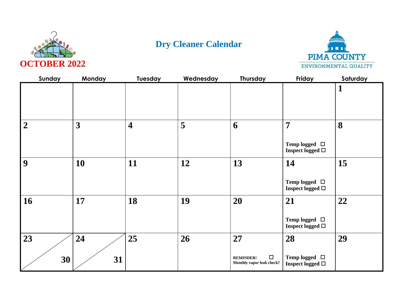



| Sunday         | Monday       | Tuesday                 | Wednesday | Thursday                                                      | Friday                                                        | Saturday    |
|----------------|--------------|-------------------------|-----------|---------------------------------------------------------------|---------------------------------------------------------------|-------------|
|                |              |                         |           |                                                               |                                                               | $\mathbf 1$ |
| $\overline{2}$ | $\mathbf{3}$ | $\overline{\mathbf{4}}$ | 5         | 6                                                             | $\overline{7}$<br>Temp logged $\Box$<br>Inspect logged $\Box$ | 8           |
| 9              | 10           | 11                      | 12        | 13                                                            | 14<br>Temp logged $\Box$<br>Inspect logged $\Box$             | 15          |
| 16             | 17           | 18                      | 19        | 20                                                            | 21<br>Temp logged $\Box$<br>Inspect logged $\Box$             | 22          |
| 23<br>30       | 24<br>31     | 25                      | 26        | 27<br>$\Box$<br><b>REMINDER!</b><br>Monthly vapor leak check? | 28<br>Temp logged $\quad \Box$<br>Inspect logged $\Box$       | 29          |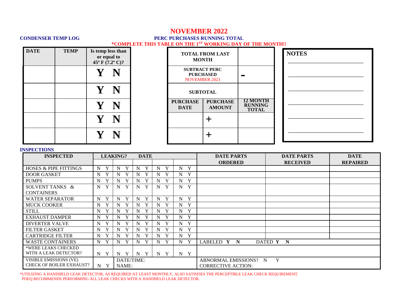## **NOVEMBER 2022**

### **CONDENSER TEMP LOG PERC PURCHASES RUNNING TOTAL \*COMPLETE THIS TABLE ON THE 1ST WORKING DAY OF THE MONTH!!**

| <b>DATE</b> | <b>TEMP</b> | Is temp less than<br>or equal to<br>45° F $(7.2^{\circ}$ C)? |  | <b>MONTH</b>                   | <b>TOTAL FROM LAST</b>                   |                                                   | <b>NOTES</b> |
|-------------|-------------|--------------------------------------------------------------|--|--------------------------------|------------------------------------------|---------------------------------------------------|--------------|
|             |             |                                                              |  | <b>NOVEMBER 2021</b>           | <b>SUBTRACT PERC</b><br><b>PURCHASED</b> | $\blacksquare$                                    |              |
|             |             | N                                                            |  | <b>SUBTOTAL</b>                |                                          |                                                   |              |
|             |             |                                                              |  | <b>PURCHASE</b><br><b>DATE</b> | <b>PURCHASE</b><br><b>AMOUNT</b>         | <b>12 MONTH</b><br><b>RUNNING</b><br><b>TOTAL</b> |              |
|             |             |                                                              |  |                                |                                          |                                                   |              |
|             |             |                                                              |  |                                |                                          |                                                   |              |

### **INSPECTIONS**

| <b>INSPECTED</b>                 |                  | <b>LEAKING?</b>   | <b>DATE</b>      |        |                | <b>DATE PARTS</b>         | <b>DATE PARTS</b> | <b>DATE</b>     |
|----------------------------------|------------------|-------------------|------------------|--------|----------------|---------------------------|-------------------|-----------------|
|                                  |                  |                   |                  |        |                | <b>ORDERED</b>            | <b>RECEIVED</b>   | <b>REPAIRED</b> |
| <b>HOSES &amp; PIPE FITTINGS</b> | Y<br>N           | Y<br>N            | Y<br>N           | Y<br>N | Y<br>N         |                           |                   |                 |
| <b>DOOR GASKET</b>               | N                | $\mathbf v$<br>N  | $\mathbf v$<br>N | Y<br>N | Y<br>N         |                           |                   |                 |
| <b>PUMPS</b>                     | N                | v<br>N            | Y<br>N           | Y<br>N | Y<br>N         |                           |                   |                 |
| SOLVENT TANKS &                  | Y<br>N           | Y<br>N            | Y<br>N           | Y<br>N | Y<br>N         |                           |                   |                 |
| <b>CONTAINERS</b>                |                  |                   |                  |        |                |                           |                   |                 |
| <b>WATER SEPARATOR</b>           | Y<br>N           | Y<br>N            | Y<br>N           | Y<br>N | Y<br>N         |                           |                   |                 |
| <b>MUCK COOKER</b>               | Y<br>N           | N                 | Y<br>N           | Y<br>N | Y<br>N         |                           |                   |                 |
| <b>STILL</b>                     | Y<br>N           | Y<br>N            | N<br>Y           | Y<br>N | Y<br>N         |                           |                   |                 |
| <b>EXHAUST DAMPER</b>            | N                | $\mathbf{v}$<br>N | N                | Y<br>N | Y<br>N         |                           |                   |                 |
| <b>DIVERTER VALVE</b>            | N                | $\mathbf{v}$<br>N | N<br>Y           | Y<br>N | N<br>Y         |                           |                   |                 |
| <b>FILTER GASKET</b>             | N                | N                 | N                | Y<br>N | N<br>Y         |                           |                   |                 |
| <b>CARTRIDGE FILTER</b>          | N                | N                 | N                | Y<br>N | Y<br>N         |                           |                   |                 |
| <b>WASTE CONTAINERS</b>          | Y<br>N           | Y<br>N            | Y<br>$\mathbf N$ | Y<br>N | Y<br>N         | LABELED Y<br>$\mathbf N$  | DATED Y N         |                 |
| *WERE LEAKS CHECKED              |                  |                   |                  |        |                |                           |                   |                 |
| WITH A LEAK DETECTOR?            | $\mathbf N$<br>Y | Y<br>N            | N<br>Y           | Y<br>N | Y<br>$N_{\rm}$ |                           |                   |                 |
| VISIBLE EMISSIONS (VE)           |                  | DATE/TIME:        |                  |        |                | ABNORMAL EMISSIONS? N     | Y                 |                 |
| <b>CHECK OF BOILER EXHAUST?</b>  | N<br>Y           | NAME:             |                  |        |                | <b>CORRECTIVE ACTION:</b> |                   |                 |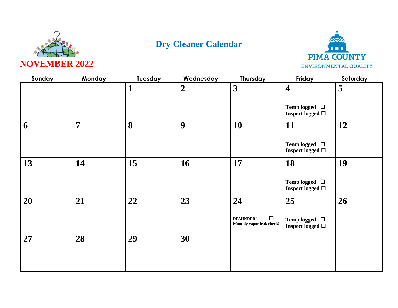



| Sunday | <b>Monday</b>  | Tuesday      | Wednesday      | <b>Thursday</b>                                         | Friday                                      | Saturday |
|--------|----------------|--------------|----------------|---------------------------------------------------------|---------------------------------------------|----------|
|        |                | $\mathbf{1}$ | $\overline{2}$ | $\overline{\mathbf{3}}$                                 | $\overline{\mathbf{4}}$                     | 5        |
|        |                |              |                |                                                         | Temp logged $\Box$<br>Inspect logged $\Box$ |          |
| 6      | $\overline{7}$ | 8            | 9              | 10                                                      | 11                                          | 12       |
|        |                |              |                |                                                         | Temp logged $\Box$<br>Inspect logged $\Box$ |          |
| 13     | 14             | 15           | 16             | 17                                                      | 18                                          | 19       |
|        |                |              |                |                                                         | Temp logged $\Box$<br>Inspect logged $\Box$ |          |
| 20     | 21             | 22           | 23             | 24                                                      | 25                                          | 26       |
|        |                |              |                | $\Box$<br><b>REMINDER!</b><br>Monthly vapor leak check? | Temp logged $\Box$<br>Inspect logged $\Box$ |          |
| 27     | 28             | 29           | 30             |                                                         |                                             |          |
|        |                |              |                |                                                         |                                             |          |
|        |                |              |                |                                                         |                                             |          |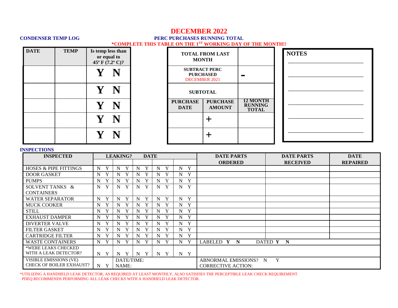## **DECEMBER 2022**

### **CONDENSER TEMP LOG PERC PURCHASES RUNNING TOTAL \*COMPLETE THIS TABLE ON THE 1ST WORKING DAY OF THE MONTH!!**

| <b>DATE</b> | <b>TEMP</b> | Is temp less than<br>or equal to<br>45° F $(7.2^{\circ}$ C)? |  |                                                                                   | <b>TOTAL FROM LAST</b><br><b>MONTH</b> |                                                   | <b>NOTES</b> |
|-------------|-------------|--------------------------------------------------------------|--|-----------------------------------------------------------------------------------|----------------------------------------|---------------------------------------------------|--------------|
|             |             |                                                              |  | <b>SUBTRACT PERC</b><br><b>PURCHASED</b><br>$\mathcal{L}$<br><b>DECEMBER 2021</b> |                                        |                                                   |              |
|             |             | N                                                            |  |                                                                                   | <b>SUBTOTAL</b>                        |                                                   |              |
|             |             |                                                              |  | <b>PURCHASE</b><br><b>DATE</b>                                                    | <b>PURCHASE</b><br><b>AMOUNT</b>       | <b>12 MONTH</b><br><b>RUNNING</b><br><b>TOTAL</b> |              |
|             |             | N                                                            |  |                                                                                   |                                        |                                                   |              |
|             |             |                                                              |  |                                                                                   |                                        |                                                   |              |

### **INSPECTIONS**

| <b>INSPECTED</b>                 | <b>LEAKING?</b><br><b>DATE</b> |                   |                   |                  |                | <b>DATE PARTS</b>         | <b>DATE PARTS</b> | <b>DATE</b>     |
|----------------------------------|--------------------------------|-------------------|-------------------|------------------|----------------|---------------------------|-------------------|-----------------|
|                                  |                                |                   |                   |                  |                | <b>ORDERED</b>            | <b>RECEIVED</b>   | <b>REPAIRED</b> |
| <b>HOSES &amp; PIPE FITTINGS</b> | N<br>Y                         | Y<br>N            | Y<br>N            | Y<br>N           | Y<br>N         |                           |                   |                 |
| <b>DOOR GASKET</b>               | N                              | $\mathbf{v}$<br>N | $\mathbf{v}$<br>N | Y<br>N           | Y<br>N         |                           |                   |                 |
| <b>PUMPS</b>                     | Y<br>N                         | $\bf{v}$<br>N     | $\mathbf v$<br>N  | Y<br>N           | Y<br>N         |                           |                   |                 |
| SOLVENT TANKS &                  | $\mathbf{Y}$<br>N              | Y<br>N            | Y<br>N            | Y<br>N           | Y<br>N         |                           |                   |                 |
| <b>CONTAINERS</b>                |                                |                   |                   |                  |                |                           |                   |                 |
| <b>WATER SEPARATOR</b>           | Y<br>N                         | Y<br>N            | Y<br>N            | Y<br>N           | Y<br>N         |                           |                   |                 |
| <b>MUCK COOKER</b>               | Y<br>N                         | Y<br>N            | Y<br>N            | Y<br>N           | Y<br>N         |                           |                   |                 |
| <b>STILL</b>                     | Y<br>N                         | N<br>Y            | N<br>Y            | Y<br>N           | Y<br>N         |                           |                   |                 |
| <b>EXHAUST DAMPER</b>            | N                              | Y<br>N            | Y<br>N            | Y<br>N           | Y<br>N         |                           |                   |                 |
| <b>DIVERTER VALVE</b>            | $\mathbf N$                    | $\mathbf{v}$<br>N | N<br>Y            | Y<br>N           | N<br>Y         |                           |                   |                 |
| <b>FILTER GASKET</b>             | N                              | $\mathbf{v}$<br>N | N                 | Y<br>N           | N<br>Y         |                           |                   |                 |
| <b>CARTRIDGE FILTER</b>          | Y<br>N                         | $\bf{v}$<br>N     | N                 | Y<br>N           | Y<br>$N_{\rm}$ |                           |                   |                 |
| <b>WASTE CONTAINERS</b>          | Y<br>N                         | Y<br>N            | Y<br>$\mathbf N$  | Y<br>N           | Y<br>N         | LABELED Y<br>$\mathbf N$  | DATED Y N         |                 |
| *WERE LEAKS CHECKED              |                                |                   |                   |                  |                |                           |                   |                 |
| WITH A LEAK DETECTOR?            | N Y                            | Y<br>N            | N<br>Y            | Y<br>$\mathbf N$ | Y<br>$N_{\rm}$ |                           |                   |                 |
| VISIBLE EMISSIONS (VE)           |                                | DATE/TIME:        |                   |                  |                | ABNORMAL EMISSIONS? N     | Y                 |                 |
| <b>CHECK OF BOILER EXHAUST?</b>  | N<br>Y                         | NAME:             |                   |                  |                | <b>CORRECTIVE ACTION:</b> |                   |                 |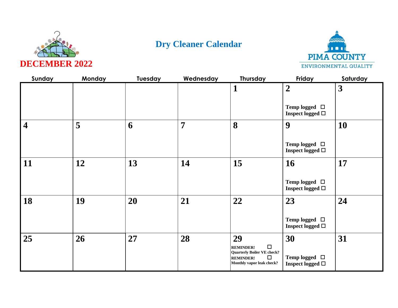



| Sunday                  | <b>Monday</b> | Tuesday | Wednesday      | <b>Thursday</b>                                                                              | Friday                                      | Saturday                |
|-------------------------|---------------|---------|----------------|----------------------------------------------------------------------------------------------|---------------------------------------------|-------------------------|
|                         |               |         |                | 1                                                                                            | $\overline{2}$                              | $\overline{\mathbf{3}}$ |
|                         |               |         |                |                                                                                              | Temp logged $\Box$<br>Inspect logged $\Box$ |                         |
| $\overline{\mathbf{4}}$ | 5             | 6       | $\overline{7}$ | 8                                                                                            | 9                                           | 10                      |
|                         |               |         |                |                                                                                              | Temp logged $\Box$<br>Inspect logged $\Box$ |                         |
| 11                      | 12            | 13      | 14             | 15                                                                                           | <b>16</b>                                   | 17                      |
|                         |               |         |                |                                                                                              | Temp logged $\Box$<br>Inspect logged $\Box$ |                         |
| 18                      | 19            | 20      | 21             | 22                                                                                           | 23                                          | 24                      |
|                         |               |         |                |                                                                                              | Temp logged $\Box$<br>Inspect logged $\Box$ |                         |
| 25                      | 26            | 27      | 28             | 29<br>$\Box$<br><b>REMINDER!</b>                                                             | 30                                          | 31                      |
|                         |               |         |                | <b>Quarterly Boiler VE check?</b><br>$\Box$<br><b>REMINDER!</b><br>Monthly vapor leak check? | Temp logged $\Box$<br>Inspect logged $\Box$ |                         |